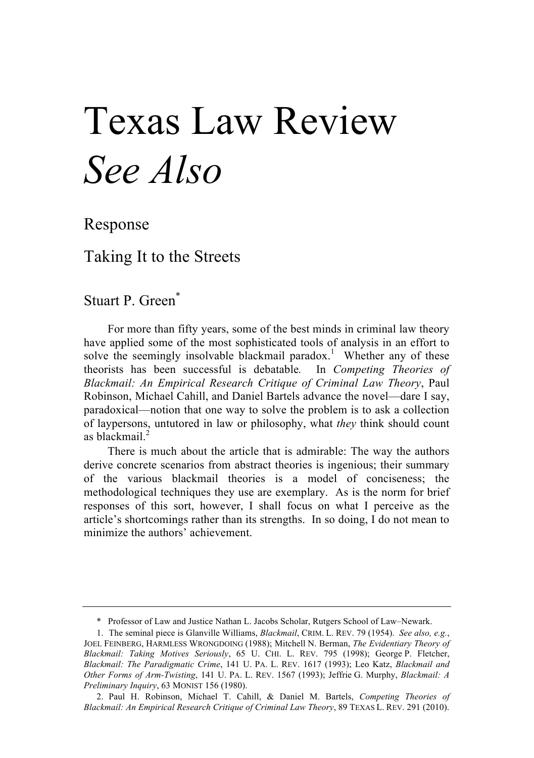# Texas Law Review *See Also*

Response

Taking It to the Streets

Stuart P. Green\*

For more than fifty years, some of the best minds in criminal law theory have applied some of the most sophisticated tools of analysis in an effort to solve the seemingly insolvable blackmail paradox.<sup>1</sup> Whether any of these theorists has been successful is debatable*.* In *Competing Theories of Blackmail: An Empirical Research Critique of Criminal Law Theory*, Paul Robinson, Michael Cahill, and Daniel Bartels advance the novel—dare I say, paradoxical—notion that one way to solve the problem is to ask a collection of laypersons, untutored in law or philosophy, what *they* think should count as blackmail $^2$ 

There is much about the article that is admirable: The way the authors derive concrete scenarios from abstract theories is ingenious; their summary of the various blackmail theories is a model of conciseness; the methodological techniques they use are exemplary. As is the norm for brief responses of this sort, however, I shall focus on what I perceive as the article's shortcomings rather than its strengths. In so doing, I do not mean to minimize the authors' achievement.

<sup>\*</sup> Professor of Law and Justice Nathan L. Jacobs Scholar, Rutgers School of Law–Newark.

<sup>1.</sup> The seminal piece is Glanville Williams, *Blackmail*, CRIM. L. REV. 79 (1954). *See also, e.g.*, JOEL FEINBERG, HARMLESS WRONGDOING (1988); Mitchell N. Berman, *The Evidentiary Theory of Blackmail: Taking Motives Seriously*, 65 U. CHI. L. REV. 795 (1998); George P. Fletcher, *Blackmail: The Paradigmatic Crime*, 141 U. PA. L. REV. 1617 (1993); Leo Katz, *Blackmail and Other Forms of Arm-Twisting*, 141 U. PA. L. REV. 1567 (1993); Jeffrie G. Murphy, *Blackmail: A Preliminary Inquiry*, 63 MONIST 156 (1980).

<sup>2.</sup> Paul H. Robinson, Michael T. Cahill, & Daniel M. Bartels, *Competing Theories of Blackmail: An Empirical Research Critique of Criminal Law Theory*, 89 TEXAS L. REV. 291 (2010).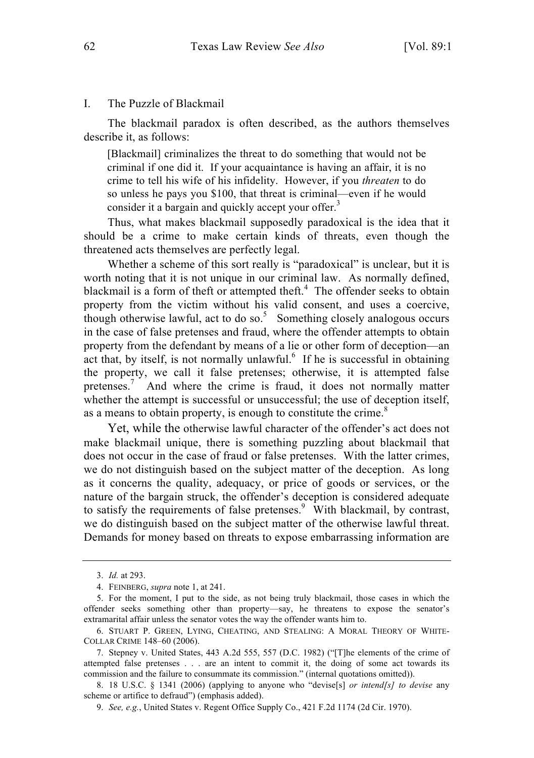## I. The Puzzle of Blackmail

The blackmail paradox is often described, as the authors themselves describe it, as follows:

[Blackmail] criminalizes the threat to do something that would not be criminal if one did it. If your acquaintance is having an affair, it is no crime to tell his wife of his infidelity. However, if you *threaten* to do so unless he pays you \$100, that threat is criminal—even if he would consider it a bargain and quickly accept your offer.<sup>3</sup>

Thus, what makes blackmail supposedly paradoxical is the idea that it should be a crime to make certain kinds of threats, even though the threatened acts themselves are perfectly legal.

Whether a scheme of this sort really is "paradoxical" is unclear, but it is worth noting that it is not unique in our criminal law. As normally defined, blackmail is a form of theft or attempted theft.<sup>4</sup> The offender seeks to obtain property from the victim without his valid consent, and uses a coercive, though otherwise lawful, act to do so.<sup>5</sup> Something closely analogous occurs in the case of false pretenses and fraud, where the offender attempts to obtain property from the defendant by means of a lie or other form of deception—an act that, by itself, is not normally unlawful. $6$  If he is successful in obtaining the property, we call it false pretenses; otherwise, it is attempted false pretenses.<sup>7</sup> And where the crime is fraud, it does not normally matter whether the attempt is successful or unsuccessful; the use of deception itself, as a means to obtain property, is enough to constitute the crime.<sup>8</sup>

Yet, while the otherwise lawful character of the offender's act does not make blackmail unique, there is something puzzling about blackmail that does not occur in the case of fraud or false pretenses. With the latter crimes, we do not distinguish based on the subject matter of the deception. As long as it concerns the quality, adequacy, or price of goods or services, or the nature of the bargain struck, the offender's deception is considered adequate to satisfy the requirements of false pretenses. $9$  With blackmail, by contrast, we do distinguish based on the subject matter of the otherwise lawful threat. Demands for money based on threats to expose embarrassing information are

<sup>3.</sup> *Id.* at 293.

<sup>4.</sup> FEINBERG, *supra* note 1, at 241.

<sup>5.</sup> For the moment, I put to the side, as not being truly blackmail, those cases in which the offender seeks something other than property—say, he threatens to expose the senator's extramarital affair unless the senator votes the way the offender wants him to.

<sup>6.</sup> STUART P. GREEN, LYING, CHEATING, AND STEALING: A MORAL THEORY OF WHITE-COLLAR CRIME 148–60 (2006).

<sup>7.</sup> Stepney v. United States, 443 A.2d 555, 557 (D.C. 1982) ("[T]he elements of the crime of attempted false pretenses . . . are an intent to commit it, the doing of some act towards its commission and the failure to consummate its commission." (internal quotations omitted)).

<sup>8.</sup> 18 U.S.C. § 1341 (2006) (applying to anyone who "devise[s] *or intend[s] to devise* any scheme or artifice to defraud") (emphasis added).

<sup>9.</sup> *See, e.g.*, United States v. Regent Office Supply Co., 421 F.2d 1174 (2d Cir. 1970).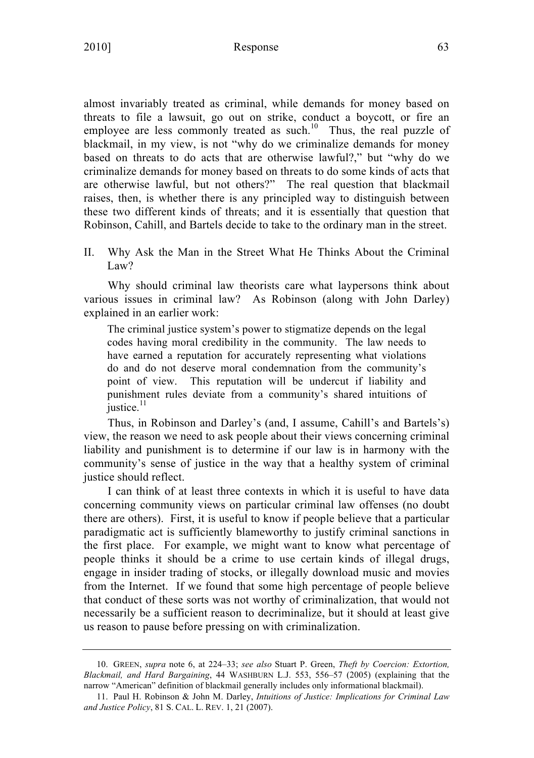2010] Response 63

almost invariably treated as criminal, while demands for money based on threats to file a lawsuit, go out on strike, conduct a boycott, or fire an employee are less commonly treated as such.<sup>10</sup> Thus, the real puzzle of blackmail, in my view, is not "why do we criminalize demands for money based on threats to do acts that are otherwise lawful?," but "why do we criminalize demands for money based on threats to do some kinds of acts that are otherwise lawful, but not others?" The real question that blackmail raises, then, is whether there is any principled way to distinguish between these two different kinds of threats; and it is essentially that question that Robinson, Cahill, and Bartels decide to take to the ordinary man in the street.

II. Why Ask the Man in the Street What He Thinks About the Criminal Law?

Why should criminal law theorists care what laypersons think about various issues in criminal law? As Robinson (along with John Darley) explained in an earlier work:

The criminal justice system's power to stigmatize depends on the legal codes having moral credibility in the community. The law needs to have earned a reputation for accurately representing what violations do and do not deserve moral condemnation from the community's point of view. This reputation will be undercut if liability and punishment rules deviate from a community's shared intuitions of justice.<sup>11</sup>

Thus, in Robinson and Darley's (and, I assume, Cahill's and Bartels's) view, the reason we need to ask people about their views concerning criminal liability and punishment is to determine if our law is in harmony with the community's sense of justice in the way that a healthy system of criminal justice should reflect.

I can think of at least three contexts in which it is useful to have data concerning community views on particular criminal law offenses (no doubt there are others). First, it is useful to know if people believe that a particular paradigmatic act is sufficiently blameworthy to justify criminal sanctions in the first place. For example, we might want to know what percentage of people thinks it should be a crime to use certain kinds of illegal drugs, engage in insider trading of stocks, or illegally download music and movies from the Internet. If we found that some high percentage of people believe that conduct of these sorts was not worthy of criminalization, that would not necessarily be a sufficient reason to decriminalize, but it should at least give us reason to pause before pressing on with criminalization.

<sup>10.</sup> GREEN, *supra* note 6, at 224–33; *see also* Stuart P. Green, *Theft by Coercion: Extortion, Blackmail, and Hard Bargaining*, 44 WASHBURN L.J. 553, 556–57 (2005) (explaining that the narrow "American" definition of blackmail generally includes only informational blackmail).

<sup>11.</sup> Paul H. Robinson & John M. Darley, *Intuitions of Justice: Implications for Criminal Law and Justice Policy*, 81 S. CAL. L. REV. 1, 21 (2007).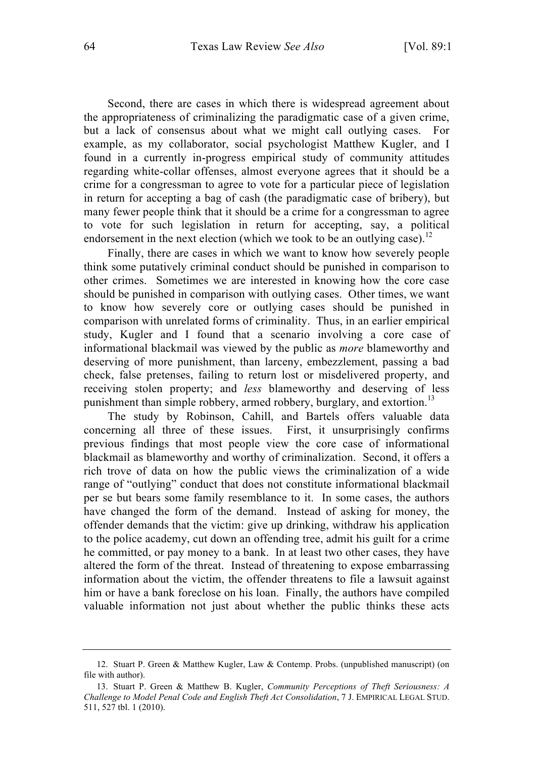Second, there are cases in which there is widespread agreement about the appropriateness of criminalizing the paradigmatic case of a given crime, but a lack of consensus about what we might call outlying cases. For example, as my collaborator, social psychologist Matthew Kugler, and I found in a currently in-progress empirical study of community attitudes regarding white-collar offenses, almost everyone agrees that it should be a crime for a congressman to agree to vote for a particular piece of legislation in return for accepting a bag of cash (the paradigmatic case of bribery), but many fewer people think that it should be a crime for a congressman to agree to vote for such legislation in return for accepting, say, a political endorsement in the next election (which we took to be an outlying case).<sup>12</sup>

Finally, there are cases in which we want to know how severely people think some putatively criminal conduct should be punished in comparison to other crimes. Sometimes we are interested in knowing how the core case should be punished in comparison with outlying cases. Other times, we want to know how severely core or outlying cases should be punished in comparison with unrelated forms of criminality. Thus, in an earlier empirical study, Kugler and I found that a scenario involving a core case of informational blackmail was viewed by the public as *more* blameworthy and deserving of more punishment, than larceny, embezzlement, passing a bad check, false pretenses, failing to return lost or misdelivered property, and receiving stolen property; and *less* blameworthy and deserving of less punishment than simple robbery, armed robbery, burglary, and extortion.<sup>13</sup>

The study by Robinson, Cahill, and Bartels offers valuable data concerning all three of these issues. First, it unsurprisingly confirms previous findings that most people view the core case of informational blackmail as blameworthy and worthy of criminalization. Second, it offers a rich trove of data on how the public views the criminalization of a wide range of "outlying" conduct that does not constitute informational blackmail per se but bears some family resemblance to it. In some cases, the authors have changed the form of the demand. Instead of asking for money, the offender demands that the victim: give up drinking, withdraw his application to the police academy, cut down an offending tree, admit his guilt for a crime he committed, or pay money to a bank. In at least two other cases, they have altered the form of the threat. Instead of threatening to expose embarrassing information about the victim, the offender threatens to file a lawsuit against him or have a bank foreclose on his loan. Finally, the authors have compiled valuable information not just about whether the public thinks these acts

<sup>12.</sup> Stuart P. Green & Matthew Kugler, Law & Contemp. Probs. (unpublished manuscript) (on file with author).

<sup>13.</sup> Stuart P. Green & Matthew B. Kugler, *Community Perceptions of Theft Seriousness: A Challenge to Model Penal Code and English Theft Act Consolidation*, 7 J. EMPIRICAL LEGAL STUD. 511, 527 tbl. 1 (2010).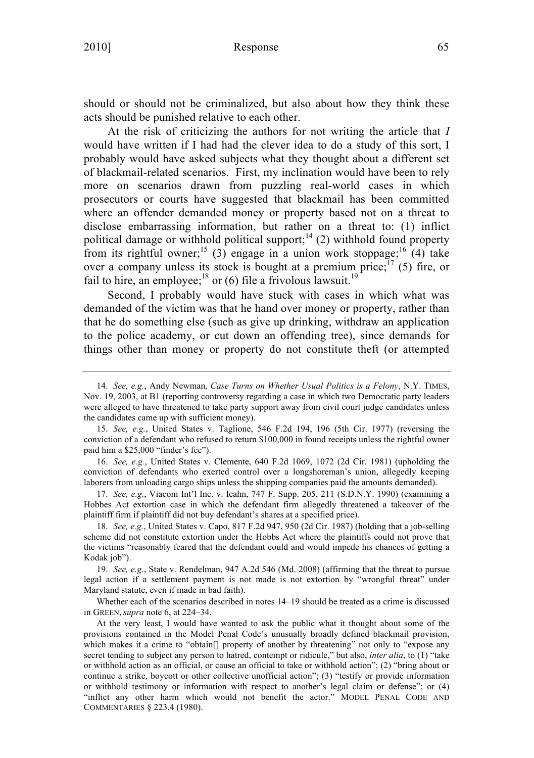# 2010] Response 65

should or should not be criminalized, but also about how they think these acts should be punished relative to each other.

At the risk of criticizing the authors for not writing the article that *I* would have written if I had had the clever idea to do a study of this sort, I probably would have asked subjects what they thought about a different set of blackmail-related scenarios. First, my inclination would have been to rely more on scenarios drawn from puzzling real-world cases in which prosecutors or courts have suggested that blackmail has been committed where an offender demanded money or property based not on a threat to disclose embarrassing information, but rather on a threat to: (1) inflict political damage or withhold political support;<sup>14</sup> (2) withhold found property from its rightful owner;<sup>15</sup> (3) engage in a union work stoppage;<sup>16</sup> (4) take over a company unless its stock is bought at a premium price;<sup>17</sup> (5) fire, or fail to hire, an employee;<sup>18</sup> or (6) file a frivolous lawsuit.<sup>19</sup>

Second, I probably would have stuck with cases in which what was demanded of the victim was that he hand over money or property, rather than that he do something else (such as give up drinking, withdraw an application to the police academy, or cut down an offending tree), since demands for things other than money or property do not constitute theft (or attempted

16. *See, e.g.*, United States v. Clemente, 640 F.2d 1069, 1072 (2d Cir. 1981) (upholding the conviction of defendants who exerted control over a longshoreman's union, allegedly keeping laborers from unloading cargo ships unless the shipping companies paid the amounts demanded).

17. *See, e.g.*, Viacom Int'l Inc. v. Icahn, 747 F. Supp. 205, 211 (S.D.N.Y. 1990) (examining a Hobbes Act extortion case in which the defendant firm allegedly threatened a takeover of the plaintiff firm if plaintiff did not buy defendant's shares at a specified price).

18. *See, e.g.*, United States v. Capo, 817 F.2d 947, 950 (2d Cir. 1987) (holding that a job-selling scheme did not constitute extortion under the Hobbs Act where the plaintiffs could not prove that the victims "reasonably feared that the defendant could and would impede his chances of getting a Kodak job").

19. *See, e.g.*, State v. Rendelman, 947 A.2d 546 (Md. 2008) (affirming that the threat to pursue legal action if a settlement payment is not made is not extortion by "wrongful threat" under Maryland statute, even if made in bad faith).

Whether each of the scenarios described in notes 14–19 should be treated as a crime is discussed in GREEN, *supra* note 6, at 224–34.

At the very least, I would have wanted to ask the public what it thought about some of the provisions contained in the Model Penal Code's unusually broadly defined blackmail provision, which makes it a crime to "obtain<sup>[]</sup> property of another by threatening" not only to "expose any secret tending to subject any person to hatred, contempt or ridicule," but also, *inter alia*, to (1) "take or withhold action as an official, or cause an official to take or withhold action"; (2) "bring about or continue a strike, boycott or other collective unofficial action"; (3) "testify or provide information or withhold testimony or information with respect to another's legal claim or defense"; or (4) "inflict any other harm which would not benefit the actor." MODEL PENAL CODE AND COMMENTARIES § 223.4 (1980).

<sup>14.</sup> *See, e.g.*, Andy Newman, *Case Turns on Whether Usual Politics is a Felony*, N.Y. TIMES, Nov. 19, 2003, at B1 (reporting controversy regarding a case in which two Democratic party leaders were alleged to have threatened to take party support away from civil court judge candidates unless the candidates came up with sufficient money).

<sup>15.</sup> *See, e.g.*, United States v. Taglione, 546 F.2d 194, 196 (5th Cir. 1977) (reversing the conviction of a defendant who refused to return \$100,000 in found receipts unless the rightful owner paid him a \$25,000 "finder's fee").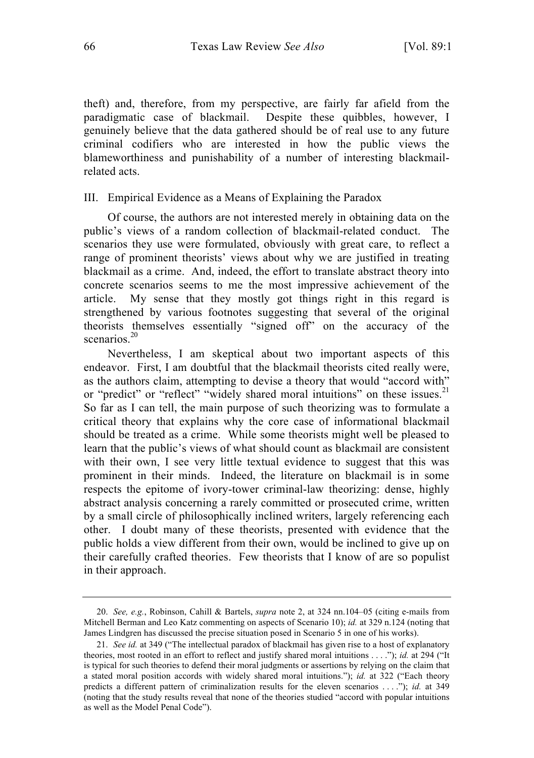theft) and, therefore, from my perspective, are fairly far afield from the paradigmatic case of blackmail. Despite these quibbles, however, I genuinely believe that the data gathered should be of real use to any future criminal codifiers who are interested in how the public views the blameworthiness and punishability of a number of interesting blackmailrelated acts.

### III. Empirical Evidence as a Means of Explaining the Paradox

Of course, the authors are not interested merely in obtaining data on the public's views of a random collection of blackmail-related conduct. The scenarios they use were formulated, obviously with great care, to reflect a range of prominent theorists' views about why we are justified in treating blackmail as a crime. And, indeed, the effort to translate abstract theory into concrete scenarios seems to me the most impressive achievement of the article. My sense that they mostly got things right in this regard is strengthened by various footnotes suggesting that several of the original theorists themselves essentially "signed off" on the accuracy of the scenarios.<sup>20</sup>

Nevertheless, I am skeptical about two important aspects of this endeavor. First, I am doubtful that the blackmail theorists cited really were, as the authors claim, attempting to devise a theory that would "accord with" or "predict" or "reflect" "widely shared moral intuitions" on these issues.<sup>21</sup> So far as I can tell, the main purpose of such theorizing was to formulate a critical theory that explains why the core case of informational blackmail should be treated as a crime. While some theorists might well be pleased to learn that the public's views of what should count as blackmail are consistent with their own. I see very little textual evidence to suggest that this was prominent in their minds. Indeed, the literature on blackmail is in some respects the epitome of ivory-tower criminal-law theorizing: dense, highly abstract analysis concerning a rarely committed or prosecuted crime, written by a small circle of philosophically inclined writers, largely referencing each other. I doubt many of these theorists, presented with evidence that the public holds a view different from their own, would be inclined to give up on their carefully crafted theories. Few theorists that I know of are so populist in their approach.

<sup>20.</sup> *See, e.g.*, Robinson, Cahill & Bartels, *supra* note 2, at 324 nn.104–05 (citing e-mails from Mitchell Berman and Leo Katz commenting on aspects of Scenario 10); *id.* at 329 n.124 (noting that James Lindgren has discussed the precise situation posed in Scenario 5 in one of his works).

<sup>21.</sup> *See id.* at 349 ("The intellectual paradox of blackmail has given rise to a host of explanatory theories, most rooted in an effort to reflect and justify shared moral intuitions . . . ."); *id.* at 294 ("It is typical for such theories to defend their moral judgments or assertions by relying on the claim that a stated moral position accords with widely shared moral intuitions."); *id.* at 322 ("Each theory predicts a different pattern of criminalization results for the eleven scenarios . . . ."); *id.* at 349 (noting that the study results reveal that none of the theories studied "accord with popular intuitions as well as the Model Penal Code").